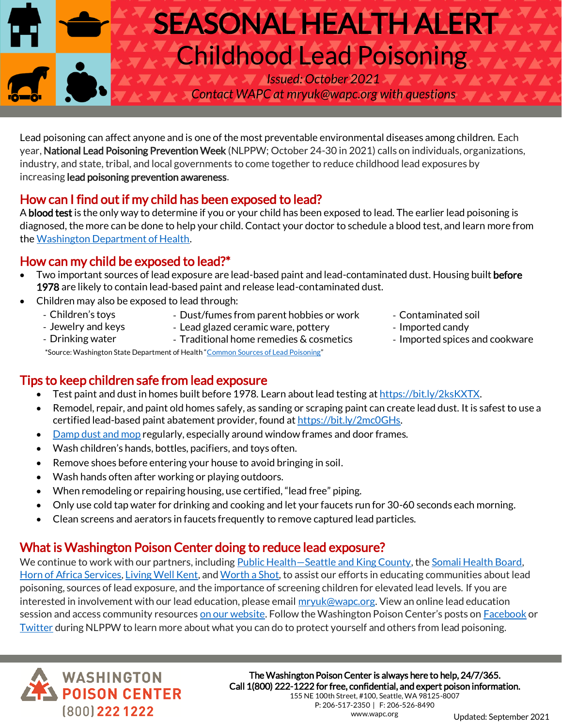# SEASONAL HEALTH ALERT Childhood Lead Poisoning *Issued: October 2021*

*Contact WAPC at mryuk@wapc.org with questions*

Lead poisoning can affect anyone and is one of the most preventable environmental diseases among children. Each year, National Lead Poisoning Prevention Week (NLPPW; October 24-30 in 2021) calls on individuals, organizations, industry, and state, tribal, and local governments to come together to reduce childhood lead exposures by increasing lead poisoning prevention awareness.

## How can I find out if my child has been exposed to lead?

A **blood test** is the only way to determine if you or your child has been exposed to lead. The earlier lead poisoning is diagnosed, the more can be done to help your child. Contact your doctor to schedule a blood test, and learn more from th[e Washington Department of Health.](https://www.doh.wa.gov/CommunityandEnvironment/Contaminants/Lead)

### How can my child be exposed to lead?\*

- Children's toys - Jewelry and keys - Drinking water

- Two important sources of lead exposure are lead-based paint and lead-contaminated dust. Housing built before 1978 are likely to contain lead-based paint and release lead-contaminated dust.
	- Children may also be exposed to lead through:
		- Dust/fumes from parent hobbies or work - Lead glazed ceramic ware, pottery

- Traditional home remedies & cosmetics

- Contaminated soil
- Imported candy
	- Imported spices and cookware

\*Source: Washington State Department of Health "[Common Sources of Lead Poisoning](https://www.doh.wa.gov/YouandYourFamily/HealthyHome/Contaminants/Lead/CommonSources)"

#### Tips to keep children safe from lead exposure

- Test paint and dust in homes built before 1978. Learn about lead testing a[t https://bit.ly/2ksKXTX.](https://bit.ly/2ksKXTX)
- Remodel, repair, and paint old homes safely, as sanding or scraping paint can create lead dust. It is safest to use a certified lead-based paint abatement provider, found a[t https://bit.ly/2mc0GHs.](https://bit.ly/2mc0GHs)
- [Damp dust and mop](https://youtu.be/PUmxaiyfUOg) regularly, especially around window frames and door frames.
- Wash children's hands, bottles, pacifiers, and toys often.
- Remove shoes before entering your house to avoid bringing in soil.
- Wash hands often after working or playing outdoors.
- When remodeling or repairing housing, use certified, "lead free" piping.
- Only use cold tap water for drinking and cooking and let your faucets run for 30-60 seconds each morning.
- Clean screens and aerators in faucets frequently to remove captured lead particles.

#### What is Washington Poison Center doing to reduce lead exposure?

We continue to work with our partners, including Public Health–[Seattle and King County,](https://kingcounty.gov/depts/health/environmental-health/toxins-air-quality/arsenic-lead/about-lead.aspx) th[e Somali Health Board,](https://somalihealthboard.org/about/) [Horn of Africa](https://www.hoas.org/about) Services[, Living Well Kent,](https://livingwellkent.org/index.html?locale=en) an[d Worth a Shot,](https://www.youthawaremagazine.com/community-initiatives/worth-a-shot) to assist our efforts in educating communities about lead poisoning, sources of lead exposure, and the importance of screening children for elevated lead levels. If you are interested in involvement with our lead education, please email  $mryuk@wapc.org$ . View an online lead education session and access community resources [on our website.](https://www.wapc.org/programs/education/lead-poisoning-prevention/) Follow the Washington Poison Center's posts on **[Facebook](https://www.facebook.com/MrYukWA)** or [Twitter](https://twitter.com/MRYUKWA) during NLPPW to learn more about what you can do to protect yourself and others from lead poisoning.